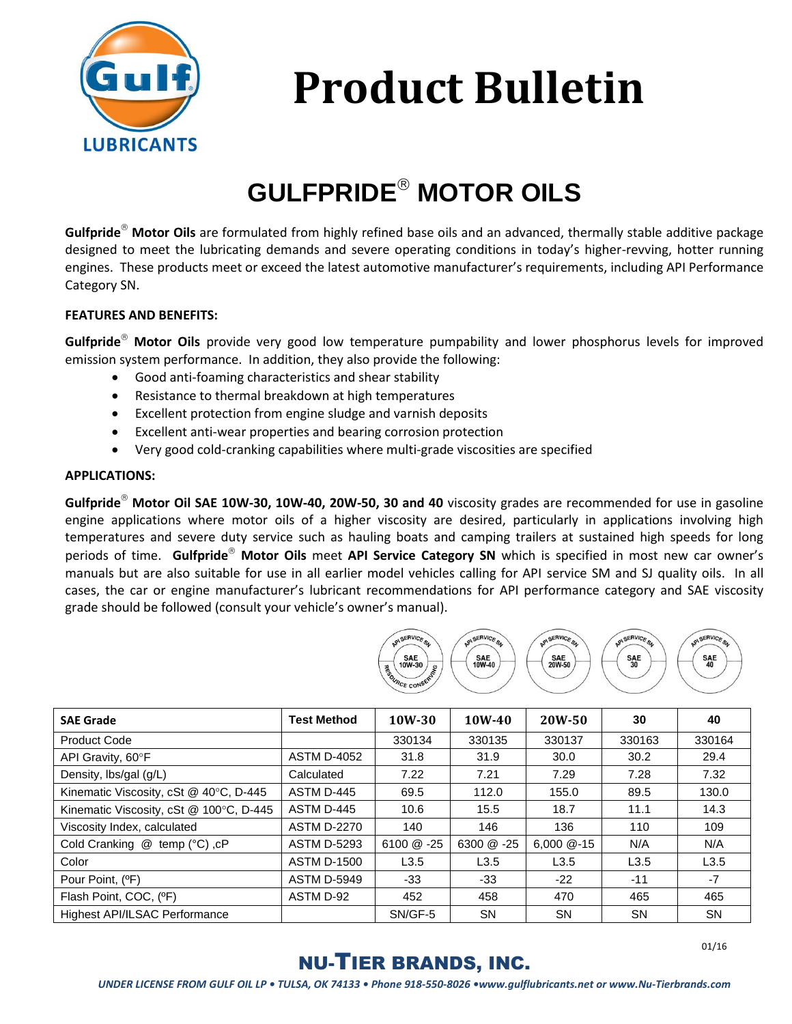

# **Product Bulletin**

## **GULFPRIDE® MOTOR OILS**

Gulfpride<sup>®</sup> Motor Oils are formulated from highly refined base oils and an advanced, thermally stable additive package designed to meet the lubricating demands and severe operating conditions in today's higher-revving, hotter running engines. These products meet or exceed the latest automotive manufacturer's requirements, including API Performance Category SN.

#### **FEATURES AND BENEFITS:**

Gulfpride<sup>®</sup> Motor Oils provide very good low temperature pumpability and lower phosphorus levels for improved emission system performance. In addition, they also provide the following:

- Good anti-foaming characteristics and shear stability
- Resistance to thermal breakdown at high temperatures
- Excellent protection from engine sludge and varnish deposits
- Excellent anti-wear properties and bearing corrosion protection
- Very good cold-cranking capabilities where multi-grade viscosities are specified

#### **APPLICATIONS:**

Gulfpride<sup>®</sup> Motor Oil SAE 10W-30, 10W-40, 20W-50, 30 and 40 viscosity grades are recommended for use in gasoline engine applications where motor oils of a higher viscosity are desired, particularly in applications involving high temperatures and severe duty service such as hauling boats and camping trailers at sustained high speeds for long periods of time. Gulfpride<sup>®</sup> Motor Oils meet API Service Category SN which is specified in most new car owner's manuals but are also suitable for use in all earlier model vehicles calling for API service SM and SJ quality oils. In all cases, the car or engine manufacturer's lubricant recommendations for API performance category and SAE viscosity grade should be followed (consult your vehicle's owner's manual).



| <b>SAE Grade</b>                        | <b>Test Method</b> | 10W-30       | $10W-40$     | 20W-50         | 30        | 40        |
|-----------------------------------------|--------------------|--------------|--------------|----------------|-----------|-----------|
| <b>Product Code</b>                     |                    | 330134       | 330135       | 330137         | 330163    | 330164    |
| API Gravity, 60°F                       | <b>ASTM D-4052</b> | 31.8         | 31.9         | 30.0           | 30.2      | 29.4      |
| Density, lbs/gal (g/L)                  | Calculated         | 7.22         | 7.21         | 7.29           | 7.28      | 7.32      |
| Kinematic Viscosity, cSt @ 40°C, D-445  | ASTM D-445         | 69.5         | 112.0        | 155.0          | 89.5      | 130.0     |
| Kinematic Viscosity, cSt @ 100°C, D-445 | ASTM D-445         | 10.6         | 15.5         | 18.7           | 11.1      | 14.3      |
| Viscosity Index, calculated             | <b>ASTM D-2270</b> | 140          | 146          | 136            | 110       | 109       |
| Cold Cranking @ temp (°C), cP           | <b>ASTM D-5293</b> | $6100 \& 25$ | $6300 \& 25$ | $6.000 \& -15$ | N/A       | N/A       |
| Color                                   | <b>ASTM D-1500</b> | L3.5         | L3.5         | L3.5           | L3.5      | L3.5      |
| Pour Point, (°F)                        | <b>ASTM D-5949</b> | $-33$        | $-33$        | $-22$          | $-11$     | $-7$      |
| Flash Point, COC, (°F)                  | ASTM D-92          | 452          | 458          | 470            | 465       | 465       |
| Highest API/ILSAC Performance           |                    | SN/GF-5      | <b>SN</b>    | <b>SN</b>      | <b>SN</b> | <b>SN</b> |

### NU-TIER BRANDS, INC.

01/16